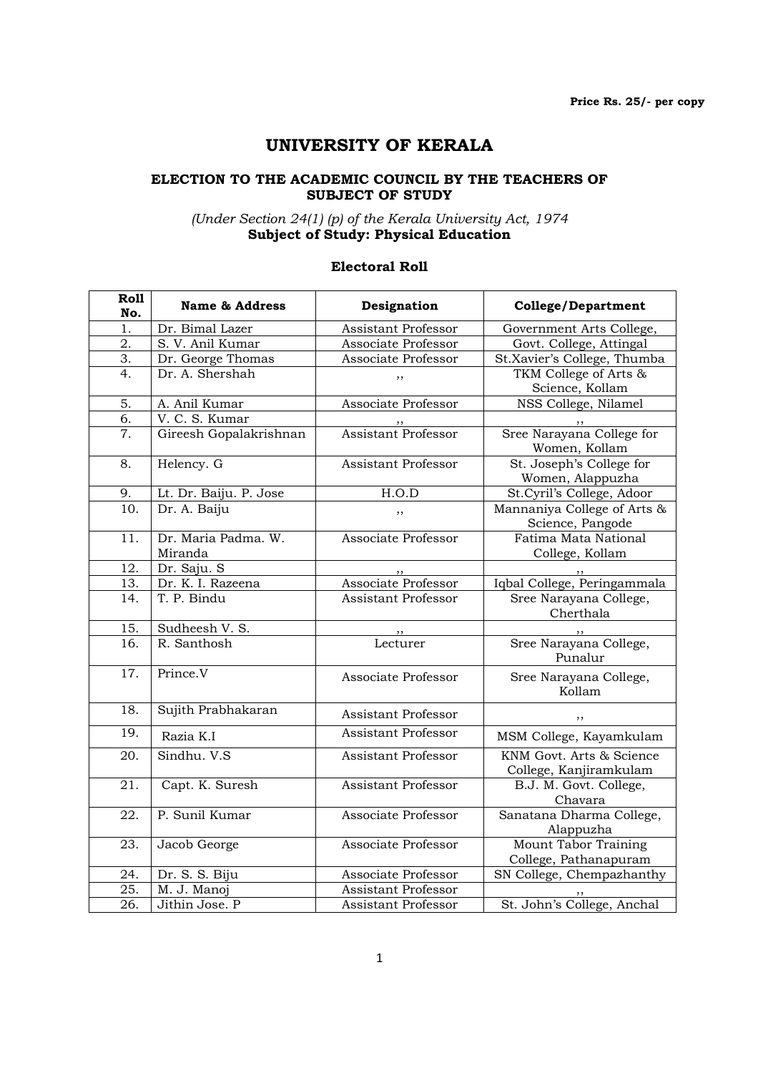# UNIVERSITY OF KERALA

### ELECTION TO THE ACADEMIC COUNCIL BY THE TEACHERS OF SUBJECT OF STUDY

#### (Under Section 24(1) (p) of the Kerala University Act, 1974 Subject of Study: Physical Education

### Electoral Roll

| Roll<br>No.       | <b>Name &amp; Address</b>      | Designation                | <b>College/Department</b>                          |
|-------------------|--------------------------------|----------------------------|----------------------------------------------------|
| 1.                | Dr. Bimal Lazer                | Assistant Professor        | Government Arts College,                           |
| 2.                | S. V. Anil Kumar               | Associate Professor        | Govt. College, Attingal                            |
| 3.                | Dr. George Thomas              | Associate Professor        | St.Xavier's College, Thumba                        |
| 4.                | Dr. A. Shershah                | ,,                         | TKM College of Arts &<br>Science, Kollam           |
| 5.                | A. Anil Kumar                  | Associate Professor        | NSS College, Nilamel                               |
| 6.                | V. C. S. Kumar                 |                            |                                                    |
| 7.                | Gireesh Gopalakrishnan         | Assistant Professor        | Sree Narayana College for<br>Women, Kollam         |
| 8.                | Helency. G                     | <b>Assistant Professor</b> | St. Joseph's College for<br>Women, Alappuzha       |
| 9.                | Lt. Dr. Baiju. P. Jose         | H.O.D                      | St.Cyril's College, Adoor                          |
| $\overline{10}$ . | Dr. A. Baiju                   | ,,                         | Mannaniya College of Arts &<br>Science, Pangode    |
| 11.               | Dr. Maria Padma. W.<br>Miranda | Associate Professor        | Fatima Mata National<br>College, Kollam            |
| 12.               | Dr. Saju. S                    |                            |                                                    |
| 13.               | Dr. K. I. Razeena              | Associate Professor        | Iqbal College, Peringammala                        |
| 14.               | T. P. Bindu                    | <b>Assistant Professor</b> | Sree Narayana College,<br>Cherthala                |
| 15.               | Sudheesh V. S.                 |                            |                                                    |
| 16.               | R. Santhosh                    | Lecturer                   | Sree Narayana College,<br>Punalur                  |
| $\overline{17}$ . | Prince.V                       | Associate Professor        | Sree Narayana College,<br>Kollam                   |
| 18.               | Sujith Prabhakaran             | Assistant Professor        | ,,                                                 |
| 19.               | Razia K.I                      | <b>Assistant Professor</b> | MSM College, Kayamkulam                            |
| 20.               | Sindhu. V.S                    | <b>Assistant Professor</b> | KNM Govt. Arts & Science<br>College, Kanjiramkulam |
| 21.               | Capt. K. Suresh                | <b>Assistant Professor</b> | B.J. M. Govt. College,<br>Chavara                  |
| 22.               | P. Sunil Kumar                 | Associate Professor        | Sanatana Dharma College,<br>Alappuzha              |
| 23.               | Jacob George                   | Associate Professor        | Mount Tabor Training<br>College, Pathanapuram      |
| 24.               | Dr. S. S. Biju                 | Associate Professor        | SN College, Chempazhanthy                          |
| 25.               | M. J. Manoj                    | <b>Assistant Professor</b> |                                                    |
| 26.               | Jithin Jose. P                 | Assistant Professor        | St. John's College, Anchal                         |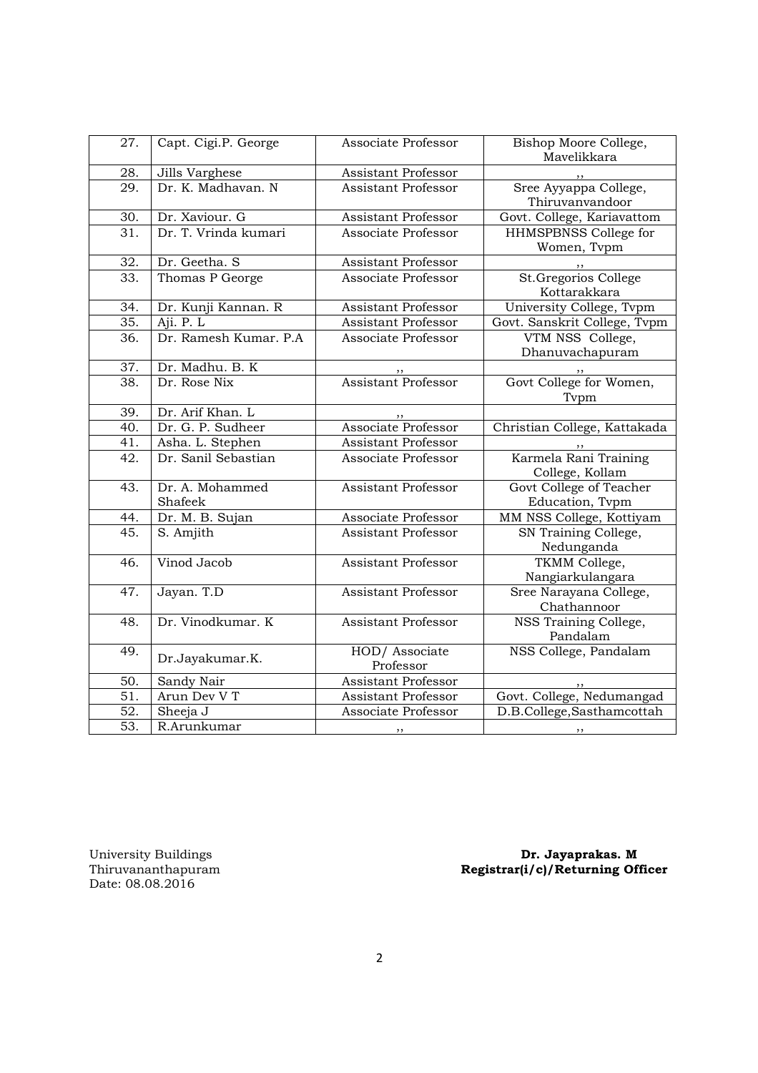| 27.               | Capt. Cigi.P. George       | Associate Professor         | Bishop Moore College,<br>Mavelikkara       |
|-------------------|----------------------------|-----------------------------|--------------------------------------------|
| 28.               | Jills Varghese             | Assistant Professor         |                                            |
| 29.               | Dr. K. Madhavan. N         | <b>Assistant Professor</b>  | Sree Ayyappa College,<br>Thiruvanvandoor   |
| 30.               | Dr. Xaviour. G             | Assistant Professor         | Govt. College, Kariavattom                 |
| $\overline{31}$ . | Dr. T. Vrinda kumari       | Associate Professor         | HHMSPBNSS College for<br>Women, Tvpm       |
| 32.               | Dr. Geetha. S              | Assistant Professor         |                                            |
| 33.               | Thomas P George            | Associate Professor         | St.Gregorios College<br>Kottarakkara       |
| 34.               | Dr. Kunji Kannan. R        | Assistant Professor         | University College, Tvpm                   |
| 35.               | Aji. P. L                  | <b>Assistant Professor</b>  | Govt. Sanskrit College, Tvpm               |
| 36.               | Dr. Ramesh Kumar, P.A.     | Associate Professor         | VTM NSS College,<br>Dhanuvachapuram        |
| 37.               | Dr. Madhu. B. K            |                             |                                            |
| 38.               | Dr. Rose Nix               | <b>Assistant Professor</b>  | Govt College for Women,<br>Tvpm            |
| 39.               | Dr. Arif Khan. L           |                             |                                            |
| 40.               | Dr. G. P. Sudheer          | Associate Professor         | Christian College, Kattakada               |
| 41.               | Asha. L. Stephen           | <b>Assistant Professor</b>  |                                            |
| 42.               | Dr. Sanil Sebastian        | Associate Professor         | Karmela Rani Training<br>College, Kollam   |
| 43.               | Dr. A. Mohammed<br>Shafeek | <b>Assistant Professor</b>  | Govt College of Teacher<br>Education, Tvpm |
| 44.               | Dr. M. B. Sujan            | Associate Professor         | MM NSS College, Kottiyam                   |
| 45.               | S. Amjith                  | <b>Assistant Professor</b>  | SN Training College,<br>Nedunganda         |
| 46.               | Vinod Jacob                | <b>Assistant Professor</b>  | TKMM College,<br>Nangiarkulangara          |
| 47.               | Jayan. T.D                 | <b>Assistant Professor</b>  | Sree Narayana College,<br>Chathannoor      |
| 48.               | Dr. Vinodkumar. K          | <b>Assistant Professor</b>  | NSS Training College,<br>Pandalam          |
| 49.               | Dr.Jayakumar.K.            | HOD/ Associate<br>Professor | NSS College, Pandalam                      |
| 50.               | Sandy Nair                 | <b>Assistant Professor</b>  |                                            |
| 51.               | Arun Dev V T               | Assistant Professor         | Govt. College, Nedumangad                  |
| 52.               | Sheeja J                   | Associate Professor         | D.B.College,Sasthamcottah                  |
| $\overline{53}$ . | R.Arunkumar                | , ,                         | $, \, \,$                                  |

University Buildings<br>Thiruvananthapuram<br>Date: 08.08.2016

University Buildings **Dr. Jayaprakas. M** Thiruvananthapuram Registrar(i/c)/Returning Officer